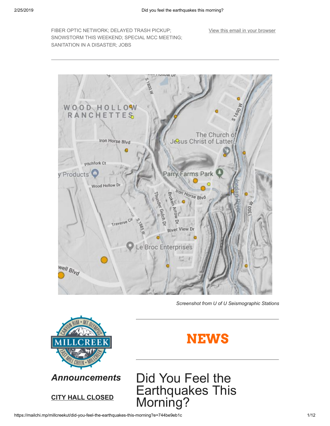FIBER OPTIC NETWORK; DELAYED TRASH PICKUP; SNOWSTORM THIS WEEKEND; SPECIAL MCC MEETING; SANITATION IN A DISASTER; JOBS

[View this email in your browser](https://mailchi.mp/millcreekut/did-you-feel-the-earthquakes-this-morning?e=744be9eb1c)



*Screenshot from U of U Seismographic Stations*





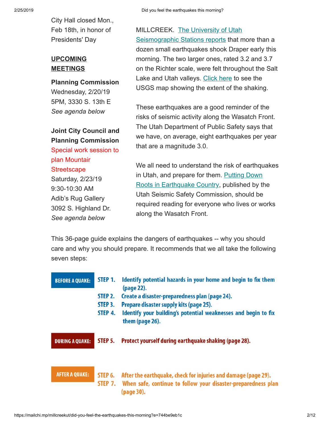City Hall closed Mon., Feb 18th, in honor of Presidents' Day

### **UPCOMING MEETINGS**

**Planning Commission** Wednesday, 2/20/19 5PM, 3330 S. 13th E *See agenda below*

### **Joint City Council and Planning Commission** Special work session to plan Mountair **Streetscape**

Saturday, 2/23/19 9:30-10:30 AM Adib's Rug Gallery 3092 S. Highland Dr. *See agenda below*

[MILLCREEK. The University of Utah](https://quake.utah.edu/earthquake-center/quake-map) Seismographic Stations reports that more than a dozen small earthquakes shook Draper early this morning. The two larger ones, rated 3.2 and 3.7 on the Richter scale, were felt throughout the Salt Lake and Utah valleys. [Click here](https://earthquake.usgs.gov/earthquakes/eventpage/uu60312667/map) to see the USGS map showing the extent of the shaking.

These earthquakes are a good reminder of the risks of seismic activity along the Wasatch Front. The Utah Department of Public Safety says that we have, on average, eight earthquakes per year that are a magnitude 3.0.

We all need to understand the risk of earthquakes [in Utah, and prepare for them. Putting Down](https://www.utah.gov/beready/documents/roots_earthquake_low.pdf) Roots in Earthquake Country, published by the Utah Seismic Safety Commission, should be required reading for everyone who lives or works along the Wasatch Front.

This 36-page guide explains the dangers of earthquakes -- why you should care and why you should prepare. It recommends that we all take the following seven steps:

| <b>BEFORE A QUAKE:</b> | STEP 1.<br>STEP 2.<br>STEP <sub>3</sub> .<br>STEP 4. | Identify potential hazards in your home and begin to fix them<br>(page 22).<br>Create a disaster-preparedness plan (page 24).<br>Prepare disaster supply kits (page 25).<br>Identify your building's potential weaknesses and begin to fix<br>them (page 26). |
|------------------------|------------------------------------------------------|---------------------------------------------------------------------------------------------------------------------------------------------------------------------------------------------------------------------------------------------------------------|
| <b>DURING A QUAKE:</b> | STEP 5.                                              | Protect yourself during earthquake shaking (page 28).                                                                                                                                                                                                         |
| <b>AFTER A QUAKE:</b>  | STEP 6.<br>STEP 7.                                   | After the earthquake, check for injuries and damage (page 29).<br>When safe, continue to follow your disaster-preparedness plan<br>(page 30).                                                                                                                 |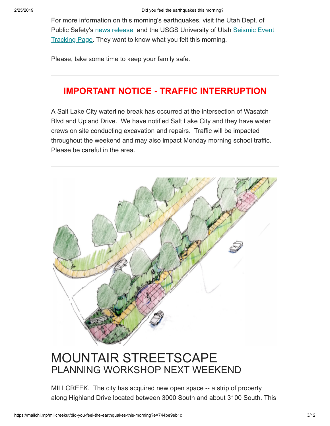For more information on this morning's earthquakes, visit the Utah Dept. of [Public Safety's news release and the USGS University of Utah Seismic Event](https://earthquake.usgs.gov/earthquakes/eventpage/uu60312667/executive) Tracking Page. They want to know what you felt this morning.

Please, take some time to keep your family safe.

### **IMPORTANT NOTICE - TRAFFIC INTERRUPTION**

A Salt Lake City waterline break has occurred at the intersection of Wasatch Blvd and Upland Drive. We have notified Salt Lake City and they have water crews on site conducting excavation and repairs. Traffic will be impacted throughout the weekend and may also impact Monday morning school traffic. Please be careful in the area.



### MOUNTAIR STREETSCAPE PLANNING WORKSHOP NEXT WEEKEND

MILLCREEK. The city has acquired new open space -- a strip of property along Highland Drive located between 3000 South and about 3100 South. This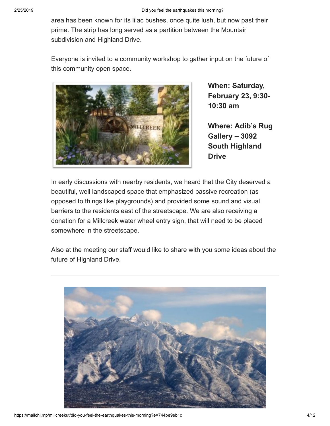area has been known for its lilac bushes, once quite lush, but now past their prime. The strip has long served as a partition between the Mountair subdivision and Highland Drive.

Everyone is invited to a community workshop to gather input on the future of this community open space.



**When: Saturday, February 23, 9:30- 10:30 am**

**Where: Adib's Rug Gallery – 3092 South Highland Drive**

In early discussions with nearby residents, we heard that the City deserved a beautiful, well landscaped space that emphasized passive recreation (as opposed to things like playgrounds) and provided some sound and visual barriers to the residents east of the streetscape. We are also receiving a donation for a Millcreek water wheel entry sign, that will need to be placed somewhere in the streetscape.

Also at the meeting our staff would like to share with you some ideas about the future of Highland Drive.

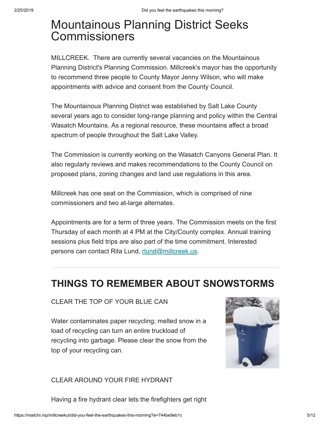### Mountainous Planning District Seeks **Commissioners**

MILLCREEK. There are currently several vacancies on the Mountainous Planning District's Planning Commission. Millcreek's mayor has the opportunity to recommend three people to County Mayor Jenny Wilson, who will make appointments with advice and consent from the County Council.

The Mountainous Planning District was established by Salt Lake County several years ago to consider long-range planning and policy within the Central Wasatch Mountains. As a regional resource, these mountains affect a broad spectrum of people throughout the Salt Lake Valley.

The Commission is currently working on the Wasatch Canyons General Plan. It also regularly reviews and makes recommendations to the County Council on proposed plans, zoning changes and land use regulations in this area.

Millcreek has one seat on the Commission, which is comprised of nine commissioners and two at-large alternates.

Appointments are for a term of three years. The Commission meets on the first Thursday of each month at 4 PM at the City/County complex. Annual training sessions plus field trips are also part of the time commitment. Interested persons can contact Rita Lund, [rlund@millcreek.us.](mailto:rlund@millcreek.us)

### **THINGS TO REMEMBER ABOUT SNOWSTORMS**

### CLEAR THE TOP OF YOUR BLUE CAN

Water contaminates paper recycling; melted snow in a load of recycling can turn an entire truckload of recycling into garbage. Please clear the snow from the top of your recycling can.



### CLEAR AROUND YOUR FIRE HYDRANT

Having a fire hydrant clear lets the firefighters get right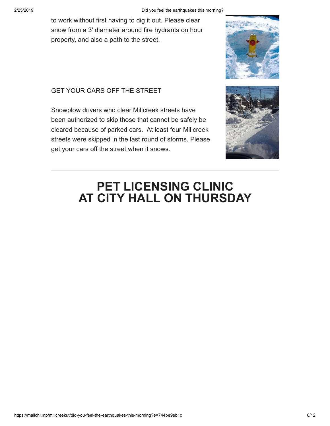to work without first having to dig it out. Please clear snow from a 3' diameter around fire hydrants on hour property, and also a path to the street.

### GET YOUR CARS OFF THE STREET

Snowplow drivers who clear Millcreek streets have been authorized to skip those that cannot be safely be cleared because of parked cars. At least four Millcreek streets were skipped in the last round of storms. Please get your cars off the street when it snows.





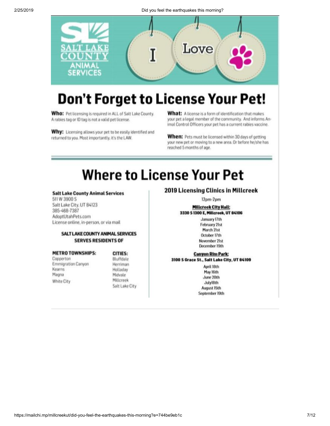

### **Don't Forget to License Your Pet!**

Who: Pet licensing is required in ALL of Salt Lake County. A rabies tag or ID tag is not a valid pet license.

Why: Licensing allows your pet to be easily identified and returned to you. Most importantly, it's the LAW.

What: A license is a form of identification that makes your pet a legal member of the community. And informs Animal Control Officers your pet has a current rabies vaccine.

When: Pets must be licensed within 30 days of getting your new pet or moving to a new area. Or before he/she has reached 5 months of age.

### **Where to License Your Pet**

### **Salt Lake County Animal Services**

511 W 3900 S Salt Lake City, UT 84123 385-468-7387 AdoptUtahPets.com License online, in-person, or via mail

### **SALT LAKE COUNTY ANIMAL SERVICES SERVES RESIDENTS OF**

#### **METRO TOWNSHIPS:**

Copperton **Emmigration Canyon** Kearns Magna White City

#### CITIES: Bluffdale Herriman Holladay Midvale

Millcreek Salt Lake City

### 2019 Licensing Clinics in Millcreek

 $12<sub>pm-2pm</sub>$ 

### **Millcreek City Hall:** 3330 S 1300 E, Millcreek, UT 84106

January 17th **February 21st** March 21st October 17th November 21st December 19th

### **Canyon Rim Park:** 3100 S Grace St., Salt Lake City, UT 84109

April 18th May 16th June 20th July18th August 15th September 19th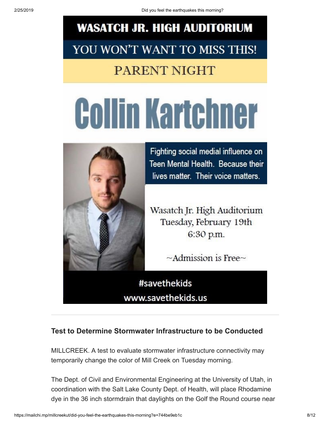## **WASATCH JR. HIGH AUDITORIUM** YOU WON'T WANT TO MISS THIS!

### **PARENT NIGHT**

# **Collin Kartchner**



Fighting social medial influence on Teen Mental Health. Because their lives matter. Their voice matters.

Wasatch Jr. High Auditorium Tuesday, February 19th 6:30 p.m.

 $\sim$ Admission is Free $\sim$ 

#savethekids www.savethekids.us

### **Test to Determine Stormwater Infrastructure to be Conducted**

MILLCREEK. A test to evaluate stormwater infrastructure connectivity may temporarily change the color of Mill Creek on Tuesday morning.

The Dept. of Civil and Environmental Engineering at the University of Utah, in coordination with the Salt Lake County Dept. of Health, will place Rhodamine dye in the 36 inch stormdrain that daylights on the Golf the Round course near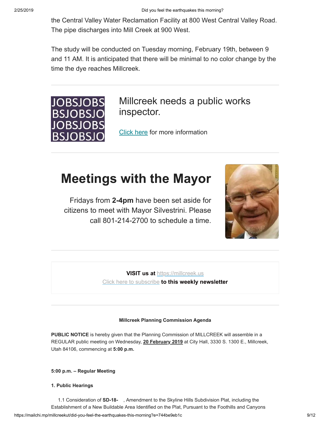the Central Valley Water Reclamation Facility at 800 West Central Valley Road. The pipe discharges into Mill Creek at 900 West.

The study will be conducted on Tuesday morning, February 19th, between 9 and 11 AM. It is anticipated that there will be minimal to no color change by the time the dye reaches Millcreek.



Millcreek needs a public works inspector.

[Click here](https://millcreek.us/DocumentCenter/View/468/Millcreek-Public-Works-Inspector-I---Job-Posting?bidId=) for more information

### **Meetings with the Mayor**

Fridays from **2-4pm** have been set aside for citizens to meet with Mayor Silvestrini. Please call 801-214-2700 to schedule a time.



**VISIT us at** [https://millcreek.us](https://millcreek.us/) [Click here to subscribe](http://millcreekut.us1.list-manage.com/subscribe?u=41cb21e12764b9940f492b953&id=ce902d47c8) **to this weekly newsletter**

### **Millcreek Planning Commission Agenda**

**PUBLIC NOTICE** is hereby given that the Planning Commission of MILLCREEK will assemble in a REGULAR public meeting on Wednesday, **20 February 2019** at City Hall, 3330 S. 1300 E., Millcreek, Utah 84106, commencing at **5:00 p.m.**

### **5:00 p.m. – Regular Meeting**

**1. Public Hearings**

https://mailchi.mp/millcreekut/did-you-feel-the-earthquakes-this-morning?e=744be9eb1c 9/12 1.1 Consideration of **SD-18-** , Amendment to the Skyline Hills Subdivision Plat, including the Establishment of a New Buildable Area Identified on the Plat, Pursuant to the Foothills and Canyons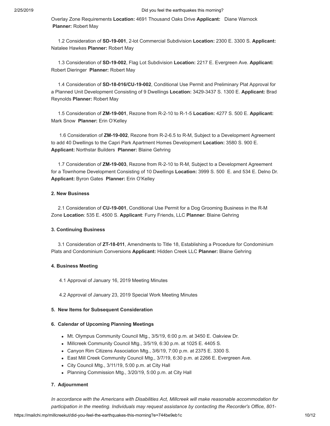Overlay Zone Requirements **Location:** 4691 Thousand Oaks Drive **Applicant:** Diane Warnock **Planner:** Robert May

 1.2 Consideration of **SD-19-001**, 2-lot Commercial Subdivision **Location:** 2300 E. 3300 S. **Applicant:** Natalee Hawkes **Planner:** Robert May

 1.3 Consideration of **SD-19-002**, Flag Lot Subdivision **Location:** 2217 E. Evergreen Ave. **Applicant:** Robert Dieringer **Planner:** Robert May

 1.4 Consideration of **SD-18-016/CU-19-002**, Conditional Use Permit and Preliminary Plat Approval for a Planned Unit Development Consisting of 9 Dwellings **Location:** 3429-3437 S. 1300 E. **Applicant:** Brad Reynolds **Planner:** Robert May

 1.5 Consideration of **ZM-19-001**, Rezone from R-2-10 to R-1-5 **Location:** 4277 S. 500 E. **Applicant:** Mark Snow **Planner:** Erin O'Kelley

 1.6 Consideration of **ZM-19-002**, Rezone from R-2-6.5 to R-M, Subject to a Development Agreement to add 40 Dwellings to the Capri Park Apartment Homes Development **Location:** 3580 S. 900 E. **Applicant:** Northstar Builders **Planner:** Blaine Gehring

 1.7 Consideration of **ZM-19-003**, Rezone from R-2-10 to R-M, Subject to a Development Agreement for a Townhome Development Consisting of 10 Dwellings **Location:** 3999 S. 500 E. and 534 E. Delno Dr. **Applicant:** Byron Gates **Planner:** Erin O'Kelley

#### **2. New Business**

 2.1 Consideration of **CU-19-001**, Conditional Use Permit for a Dog Grooming Business in the R-M Zone **Location**: 535 E. 4500 S. **Applicant**: Furry Friends, LLC **Planner**: Blaine Gehring

### **3. Continuing Business**

 3.1 Consideration of **ZT-18-011**, Amendments to Title 18, Establishing a Procedure for Condominium Plats and Condominium Conversions **Applicant:** Hidden Creek LLC **Planner:** Blaine Gehring

#### **4. Business Meeting**

4.1 Approval of January 16, 2019 Meeting Minutes

4.2 Approval of January 23, 2019 Special Work Meeting Minutes

#### **5. New Items for Subsequent Consideration**

### **6. Calendar of Upcoming Planning Meetings**

- Mt. Olympus Community Council Mtg., 3/5/19, 6:00 p.m. at 3450 E. Oakview Dr.
- Millcreek Community Council Mtg., 3/5/19, 6:30 p.m. at 1025 E. 4405 S.
- Canyon Rim Citizens Association Mtg., 3/6/19, 7:00 p.m. at 2375 E. 3300 S.
- East Mill Creek Community Council Mtg., 3/7/19, 6:30 p.m. at 2266 E. Evergreen Ave.
- City Council Mtg., 3/11/19, 5:00 p.m. at City Hall
- Planning Commission Mtg., 3/20/19, 5:00 p.m. at City Hall

#### **7. Adjournment**

*In accordance with the Americans with Disabilities Act, Millcreek will make reasonable accommodation for participation in the meeting. Individuals may request assistance by contacting the Recorder's Office, 801-*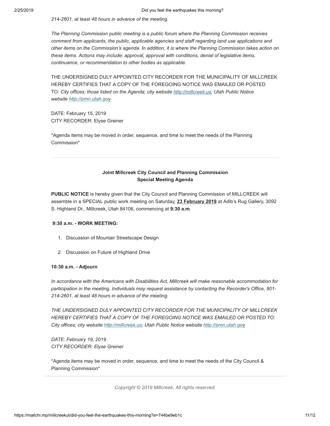*214-2601, at least 48 hours in advance of the meeting.*

*The Planning Commission public meeting is a public forum where the Planning Commission receives comment from applicants, the public, applicable agencies and staff regarding land use applications and other items on the Commission's agenda. In addition, it is where the Planning Commission takes action on these items. Actions may include: approval, approval with conditions, denial of legislative items, continuance, or recommendation to other bodies as applicable.*

THE UNDERSIGNED DULY APPOINTED CITY RECORDER FOR THE MUNICIPALITY OF MILLCREEK HEREBY CERTIFIES THAT A COPY OF THE FOREGOING NOTICE WAS EMAILED OR POSTED TO: *City offices; those listed on the Agenda; city website [http://millcreek.us;](http://millcreek.us/) Utah Public Notice website [http://pmn.utah.gov](http://pmn.utah.gov/)*

DATE: February 15, 2019 CITY RECORDER: Elyse Greiner

\*Agenda items may be moved in order, sequence, and time to meet the needs of the Planning Commission\*

### **Joint Millcreek City Council and Planning Commission Special Meeting Agenda**

**PUBLIC NOTICE** is hereby given that the City Council and Planning Commission of MILLCREEK will assemble in a SPECIAL public work meeting on Saturday, **23 February 2019** at Adib's Rug Gallery, 3092 S. Highland Dr., Millcreek, Utah 84106, commencing at **9:30 a.m**.

### **9:30 a.m. - WORK MEETING:**

- 1. Discussion of Mountair Streetscape Design
- 2. Discussion on Future of Highland Drive

#### **10:30 a.m. - Adjourn**

*In accordance with the Americans with Disabilities Act, Millcreek will make reasonable accommodation for participation in the meeting. Individuals may request assistance by contacting the Recorder's Office, 801- 214-2601, at least 48 hours in advance of the meeting.*

*THE UNDERSIGNED DULY APPOINTED CITY RECORDER FOR THE MUNICIPALITY OF MILLCREEK HEREBY CERTIFIES THAT A COPY OF THE FOREGOING NOTICE WAS EMAILED OR POSTED TO: City offices; city website [http://millcreek.us](http://millcreek.us/); Utah Public Notice website [http://pmn.utah.go](http://pmn.utah.gov/)v*

*DATE: February 19, 2019 CITY RECORDER: Elyse Greiner*

\*Agenda items may be moved in order, sequence, and time to meet the needs of the City Council & Planning Commission\*

*Copyright © 2019 Millcreek, All rights reserved.*